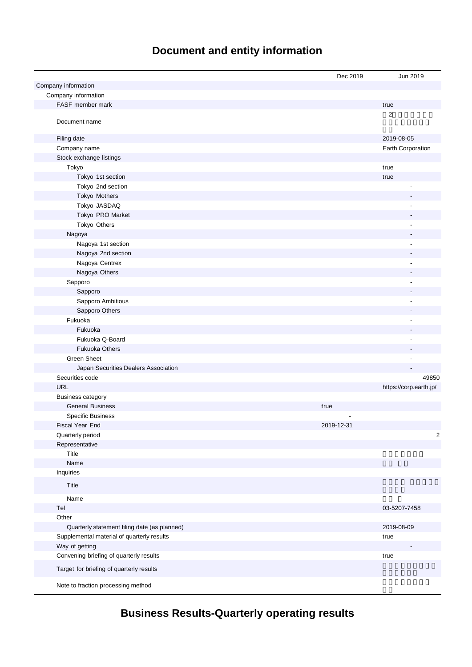# **Document and entity information**

|                                              | Dec 2019   | Jun 2019                 |
|----------------------------------------------|------------|--------------------------|
| Company information                          |            |                          |
| Company information                          |            |                          |
| FASF member mark                             |            | true                     |
| Document name                                |            | 2                        |
| Filing date                                  |            | 2019-08-05               |
| Company name                                 |            | Earth Corporation        |
| Stock exchange listings                      |            |                          |
| Tokyo                                        |            | true                     |
| Tokyo 1st section                            |            | true                     |
| Tokyo 2nd section                            |            | $\overline{\phantom{a}}$ |
| Tokyo Mothers                                |            |                          |
| Tokyo JASDAQ                                 |            |                          |
| Tokyo PRO Market                             |            |                          |
| Tokyo Others                                 |            | ÷,                       |
| Nagoya                                       |            |                          |
| Nagoya 1st section                           |            | ÷,                       |
| Nagoya 2nd section                           |            |                          |
| Nagoya Centrex                               |            |                          |
| Nagoya Others                                |            |                          |
| Sapporo                                      |            |                          |
| Sapporo                                      |            |                          |
| Sapporo Ambitious                            |            | ۰                        |
| Sapporo Others                               |            |                          |
| Fukuoka                                      |            |                          |
| Fukuoka                                      |            |                          |
| Fukuoka Q-Board                              |            | $\overline{a}$           |
| <b>Fukuoka Others</b>                        |            |                          |
| <b>Green Sheet</b>                           |            |                          |
| Japan Securities Dealers Association         |            |                          |
| Securities code                              |            | 49850                    |
| <b>URL</b>                                   |            | https://corp.earth.jp/   |
| <b>Business category</b>                     |            |                          |
| <b>General Business</b>                      | true       |                          |
| <b>Specific Business</b>                     |            |                          |
| Fiscal Year End                              | 2019-12-31 |                          |
| Quarterly period                             |            | $\overline{\mathbf{c}}$  |
| Representative                               |            |                          |
| Title                                        |            |                          |
| Name                                         |            |                          |
| Inquiries                                    |            |                          |
| Title                                        |            |                          |
| Name                                         |            |                          |
| Tel                                          |            | 03-5207-7458             |
| Other                                        |            |                          |
| Quarterly statement filing date (as planned) |            | 2019-08-09               |
| Supplemental material of quarterly results   |            | true                     |
| Way of getting                               |            |                          |
| Convening briefing of quarterly results      |            | true                     |
| Target for briefing of quarterly results     |            |                          |
| Note to fraction processing method           |            |                          |

**Business Results-Quarterly operating results**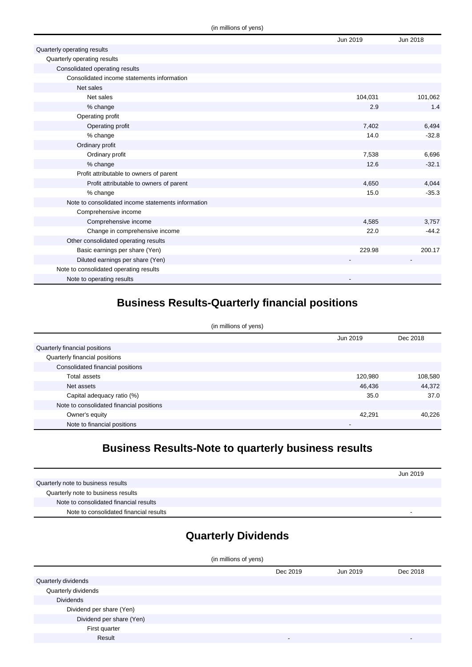|                                                    | Jun 2019 | Jun 2018 |
|----------------------------------------------------|----------|----------|
| Quarterly operating results                        |          |          |
| Quarterly operating results                        |          |          |
| Consolidated operating results                     |          |          |
| Consolidated income statements information         |          |          |
| Net sales                                          |          |          |
| Net sales                                          | 104,031  | 101,062  |
| % change                                           | 2.9      | 1.4      |
| Operating profit                                   |          |          |
| Operating profit                                   | 7,402    | 6,494    |
| % change                                           | 14.0     | $-32.8$  |
| Ordinary profit                                    |          |          |
| Ordinary profit                                    | 7,538    | 6,696    |
| % change                                           | 12.6     | $-32.1$  |
| Profit attributable to owners of parent            |          |          |
| Profit attributable to owners of parent            | 4,650    | 4,044    |
| % change                                           | 15.0     | $-35.3$  |
| Note to consolidated income statements information |          |          |
| Comprehensive income                               |          |          |
| Comprehensive income                               | 4,585    | 3,757    |
| Change in comprehensive income                     | 22.0     | $-44.2$  |
| Other consolidated operating results               |          |          |
| Basic earnings per share (Yen)                     | 229.98   | 200.17   |
| Diluted earnings per share (Yen)                   |          |          |
| Note to consolidated operating results             |          |          |
| Note to operating results                          |          |          |

## **Business Results-Quarterly financial positions**

| (in millions of yens)                    |          |          |  |
|------------------------------------------|----------|----------|--|
|                                          | Jun 2019 | Dec 2018 |  |
| Quarterly financial positions            |          |          |  |
| Quarterly financial positions            |          |          |  |
| Consolidated financial positions         |          |          |  |
| Total assets                             | 120,980  | 108,580  |  |
| Net assets                               | 46,436   | 44,372   |  |
| Capital adequacy ratio (%)               | 35.0     | 37.0     |  |
| Note to consolidated financial positions |          |          |  |
| Owner's equity                           | 42,291   | 40,226   |  |
| Note to financial positions              | -        |          |  |

## **Business Results-Note to quarterly business results**

|                                        | Jun 2019 |
|----------------------------------------|----------|
| Quarterly note to business results     |          |
| Quarterly note to business results     |          |
| Note to consolidated financial results |          |
| Note to consolidated financial results |          |

# **Quarterly Dividends**

| (in millions of yens)    |          |          |          |
|--------------------------|----------|----------|----------|
|                          | Dec 2019 | Jun 2019 | Dec 2018 |
| Quarterly dividends      |          |          |          |
| Quarterly dividends      |          |          |          |
| <b>Dividends</b>         |          |          |          |
| Dividend per share (Yen) |          |          |          |
| Dividend per share (Yen) |          |          |          |
| First quarter            |          |          |          |
| Result                   | -        |          |          |
|                          |          |          |          |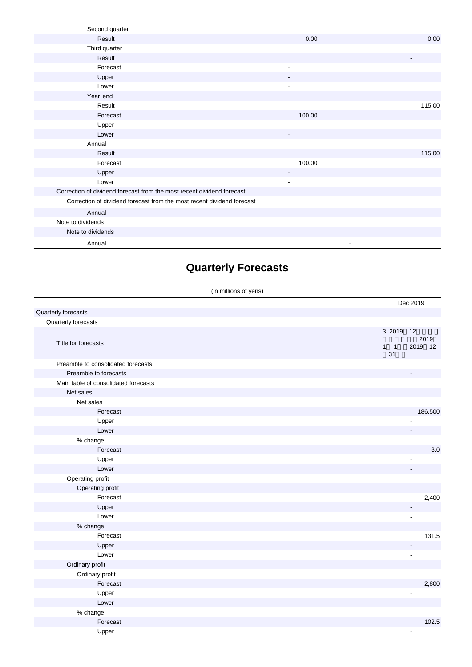| Second quarter                                                         |                          |                          |
|------------------------------------------------------------------------|--------------------------|--------------------------|
| Result                                                                 | 0.00                     | 0.00                     |
| Third quarter                                                          |                          |                          |
| Result                                                                 |                          | $\overline{\phantom{a}}$ |
| Forecast                                                               | $\overline{\phantom{a}}$ |                          |
| Upper                                                                  | $\overline{\phantom{a}}$ |                          |
| Lower                                                                  | $\blacksquare$           |                          |
| Year end                                                               |                          |                          |
| Result                                                                 |                          | 115.00                   |
| Forecast                                                               | 100.00                   |                          |
| Upper                                                                  | $\blacksquare$           |                          |
| Lower                                                                  |                          |                          |
| Annual                                                                 |                          |                          |
| Result                                                                 |                          | 115.00                   |
| Forecast                                                               | 100.00                   |                          |
| Upper                                                                  |                          |                          |
| Lower                                                                  | $\overline{\phantom{a}}$ |                          |
| Correction of dividend forecast from the most recent dividend forecast |                          |                          |
| Correction of dividend forecast from the most recent dividend forecast |                          |                          |
| Annual                                                                 | $\overline{\phantom{a}}$ |                          |
| Note to dividends                                                      |                          |                          |
| Note to dividends                                                      |                          |                          |
| Annual                                                                 |                          |                          |

## **Quarterly Forecasts**

(in millions of yens)

|                                      | Dec 2019                                             |
|--------------------------------------|------------------------------------------------------|
| Quarterly forecasts                  |                                                      |
| Quarterly forecasts                  |                                                      |
| Title for forecasts                  | 3.2019<br>12<br>2019<br>$1 \quad 1$<br>2019 12<br>31 |
| Preamble to consolidated forecasts   |                                                      |
| Preamble to forecasts                |                                                      |
| Main table of consolidated forecasts |                                                      |
| Net sales                            |                                                      |
| Net sales                            |                                                      |
| Forecast                             | 186,500                                              |
| Upper                                |                                                      |
| Lower                                |                                                      |
| % change                             |                                                      |
| Forecast                             | $3.0\,$                                              |
| Upper                                |                                                      |
| Lower                                |                                                      |
| Operating profit                     |                                                      |
| Operating profit                     |                                                      |
| Forecast                             | 2,400                                                |
| Upper                                |                                                      |
| Lower                                | $\overline{a}$                                       |
| % change                             |                                                      |
| Forecast                             | 131.5                                                |
| Upper                                |                                                      |
| Lower                                |                                                      |
| Ordinary profit                      |                                                      |
| Ordinary profit                      |                                                      |
| Forecast                             | 2,800                                                |
| Upper                                |                                                      |
| Lower                                |                                                      |
| $%$ change                           |                                                      |
| Forecast                             | 102.5                                                |
| Upper                                | $\overline{\phantom{a}}$                             |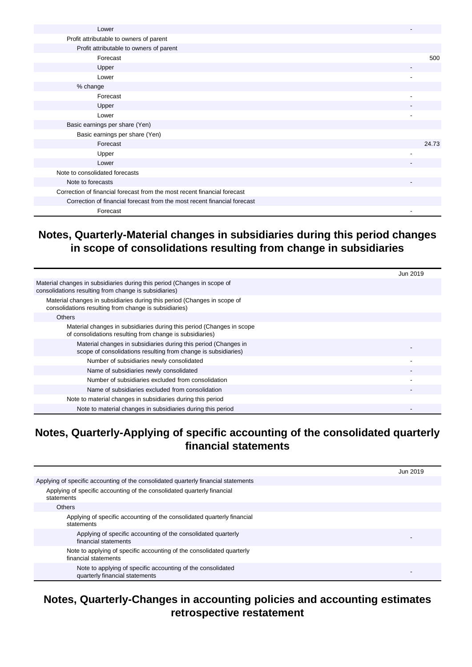| Lower                                                                    |       |
|--------------------------------------------------------------------------|-------|
| Profit attributable to owners of parent                                  |       |
| Profit attributable to owners of parent                                  |       |
| Forecast                                                                 | 500   |
| Upper                                                                    |       |
| Lower                                                                    |       |
| % change                                                                 |       |
| Forecast                                                                 |       |
| Upper                                                                    |       |
| Lower                                                                    |       |
| Basic earnings per share (Yen)                                           |       |
| Basic earnings per share (Yen)                                           |       |
| Forecast                                                                 | 24.73 |
| Upper                                                                    |       |
| Lower                                                                    |       |
| Note to consolidated forecasts                                           |       |
| Note to forecasts                                                        |       |
| Correction of financial forecast from the most recent financial forecast |       |
| Correction of financial forecast from the most recent financial forecast |       |
| Forecast                                                                 |       |

#### **Notes, Quarterly-Material changes in subsidiaries during this period changes in scope of consolidations resulting from change in subsidiaries**

|                                                                                                                                   | Jun 2019 |
|-----------------------------------------------------------------------------------------------------------------------------------|----------|
| Material changes in subsidiaries during this period (Changes in scope of<br>consolidations resulting from change is subsidiaries) |          |
| Material changes in subsidiaries during this period (Changes in scope of<br>consolidations resulting from change is subsidiaries) |          |
| <b>Others</b>                                                                                                                     |          |
| Material changes in subsidiaries during this period (Changes in scope<br>of consolidations resulting from change is subsidiaries) |          |
| Material changes in subsidiaries during this period (Changes in<br>scope of consolidations resulting from change is subsidiaries) |          |
| Number of subsidiaries newly consolidated                                                                                         |          |
| Name of subsidiaries newly consolidated                                                                                           |          |
| Number of subsidiaries excluded from consolidation                                                                                |          |
| Name of subsidiaries excluded from consolidation                                                                                  |          |
| Note to material changes in subsidiaries during this period                                                                       |          |
| Note to material changes in subsidiaries during this period                                                                       |          |

#### **Notes, Quarterly-Applying of specific accounting of the consolidated quarterly financial statements**

|                                                                                               | Jun 2019 |
|-----------------------------------------------------------------------------------------------|----------|
| Applying of specific accounting of the consolidated quarterly financial statements            |          |
| Applying of specific accounting of the consolidated quarterly financial<br>statements         |          |
| <b>Others</b>                                                                                 |          |
| Applying of specific accounting of the consolidated quarterly financial<br>statements         |          |
| Applying of specific accounting of the consolidated quarterly<br>financial statements         |          |
| Note to applying of specific accounting of the consolidated quarterly<br>financial statements |          |
| Note to applying of specific accounting of the consolidated<br>quarterly financial statements |          |

#### **Notes, Quarterly-Changes in accounting policies and accounting estimates retrospective restatement**